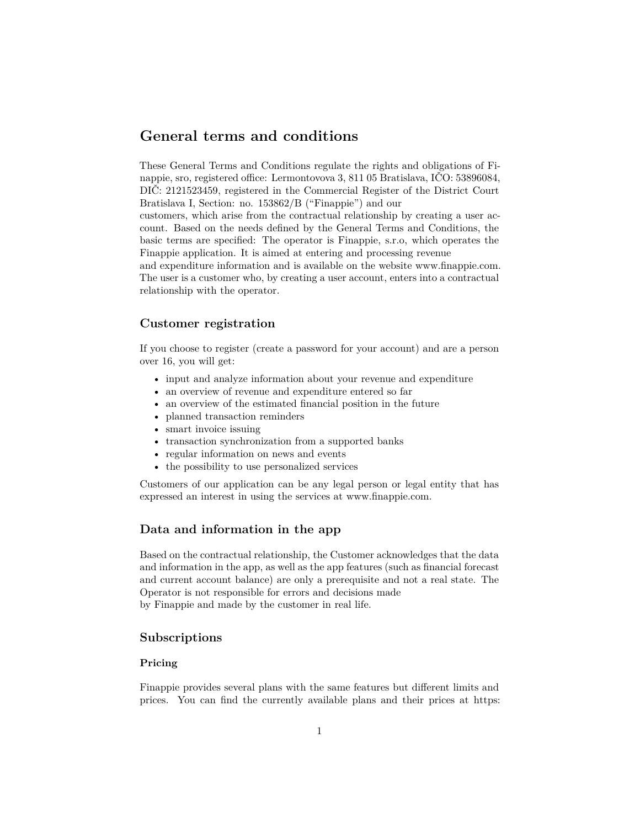# **General terms and conditions**

These General Terms and Conditions regulate the rights and obligations of Finappie, sro, registered office: Lermontovova 3, 811 05 Bratislava, IČO: 53896084, DIČ: 2121523459, registered in the Commercial Register of the District Court Bratislava I, Section: no. 153862/B ("Finappie") and our

customers, which arise from the contractual relationship by creating a user account. Based on the needs defined by the General Terms and Conditions, the basic terms are specified: The operator is Finappie, s.r.o, which operates the Finappie application. It is aimed at entering and processing revenue

and expenditure information and is available on the website www.finappie.com. The user is a customer who, by creating a user account, enters into a contractual relationship with the operator.

### **Customer registration**

If you choose to register (create a password for your account) and are a person over 16, you will get:

- input and analyze information about your revenue and expenditure
- an overview of revenue and expenditure entered so far
- an overview of the estimated financial position in the future
- planned transaction reminders
- smart invoice issuing
- transaction synchronization from a supported banks
- regular information on news and events
- the possibility to use personalized services

Customers of our application can be any legal person or legal entity that has expressed an interest in using the services at www.finappie.com.

### **Data and information in the app**

Based on the contractual relationship, the Customer acknowledges that the data and information in the app, as well as the app features (such as financial forecast and current account balance) are only a prerequisite and not a real state. The Operator is not responsible for errors and decisions made by Finappie and made by the customer in real life.

#### **Subscriptions**

#### **Pricing**

Finappie provides several plans with the same features but different limits and prices. You can find the currently available plans and their prices at [https:](https://www.finappie.com/en/pricing)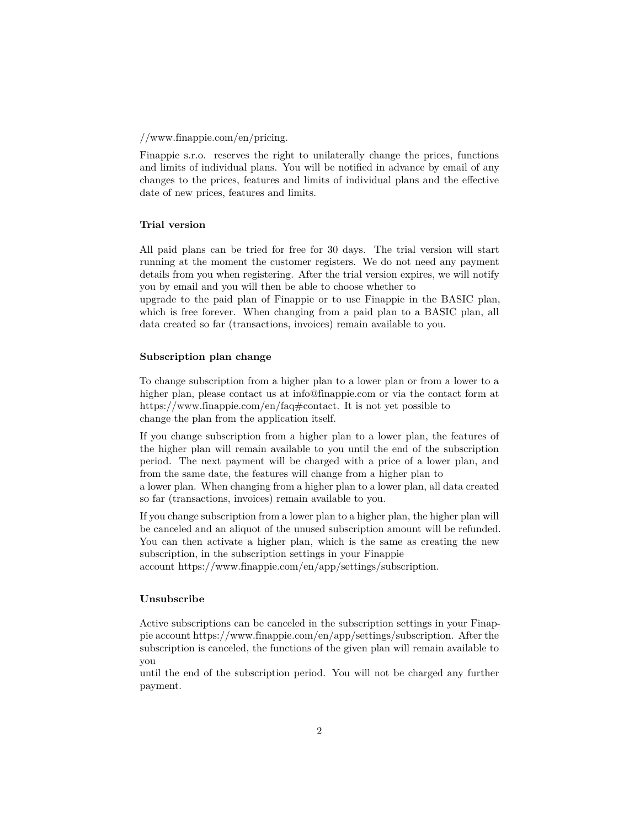#### [//www.finappie.com/en/pricing](https://www.finappie.com/en/pricing).

Finappie s.r.o. reserves the right to unilaterally change the prices, functions and limits of individual plans. You will be notified in advance by email of any changes to the prices, features and limits of individual plans and the effective date of new prices, features and limits.

### **Trial version**

All paid plans can be tried for free for 30 days. The trial version will start running at the moment the customer registers. We do not need any payment details from you when registering. After the trial version expires, we will notify you by email and you will then be able to choose whether to

upgrade to the paid plan of Finappie or to use Finappie in the BASIC plan, which is free forever. When changing from a paid plan to a BASIC plan, all data created so far (transactions, invoices) remain available to you.

#### **Subscription plan change**

To change subscription from a higher plan to a lower plan or from a lower to a higher plan, please contact us at [info@finappie.com](mailto:info@finappie.com) or via the contact form at <https://www.finappie.com/en/faq#contact>. It is not yet possible to change the plan from the application itself.

If you change subscription from a higher plan to a lower plan, the features of the higher plan will remain available to you until the end of the subscription period. The next payment will be charged with a price of a lower plan, and from the same date, the features will change from a higher plan to

a lower plan. When changing from a higher plan to a lower plan, all data created so far (transactions, invoices) remain available to you.

If you change subscription from a lower plan to a higher plan, the higher plan will be canceled and an aliquot of the unused subscription amount will be refunded. You can then activate a higher plan, which is the same as creating the new subscription, in the subscription settings in your Finappie

account <https://www.finappie.com/en/app/settings/subscription>.

#### **Unsubscribe**

Active subscriptions can be canceled in the subscription settings in your Finappie account [https://www.finappie.com/en/app/settings/subscription.](https://www.finappie.com/en/app/settings/subscription) After the subscription is canceled, the functions of the given plan will remain available to you

until the end of the subscription period. You will not be charged any further payment.